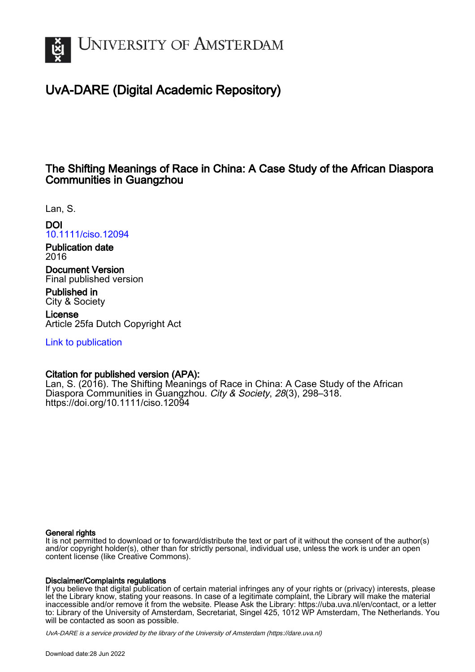

# UvA-DARE (Digital Academic Repository)

## The Shifting Meanings of Race in China: A Case Study of the African Diaspora Communities in Guangzhou

Lan, S.

DOI [10.1111/ciso.12094](https://doi.org/10.1111/ciso.12094)

Publication date 2016

Document Version Final published version

Published in City & Society

License Article 25fa Dutch Copyright Act

[Link to publication](https://dare.uva.nl/personal/pure/en/publications/the-shifting-meanings-of-race-in-china-a-case-study-of-the-african-diaspora-communities-in-guangzhou(b5133f2d-b415-4113-bfe8-e880f354c11a).html)

### Citation for published version (APA):

Lan, S. (2016). The Shifting Meanings of Race in China: A Case Study of the African Diaspora Communities in Guangzhou. City & Society, 28(3), 298-318. <https://doi.org/10.1111/ciso.12094>

#### General rights

It is not permitted to download or to forward/distribute the text or part of it without the consent of the author(s) and/or copyright holder(s), other than for strictly personal, individual use, unless the work is under an open content license (like Creative Commons).

#### Disclaimer/Complaints regulations

If you believe that digital publication of certain material infringes any of your rights or (privacy) interests, please let the Library know, stating your reasons. In case of a legitimate complaint, the Library will make the material inaccessible and/or remove it from the website. Please Ask the Library: https://uba.uva.nl/en/contact, or a letter to: Library of the University of Amsterdam, Secretariat, Singel 425, 1012 WP Amsterdam, The Netherlands. You will be contacted as soon as possible.

UvA-DARE is a service provided by the library of the University of Amsterdam (http*s*://dare.uva.nl)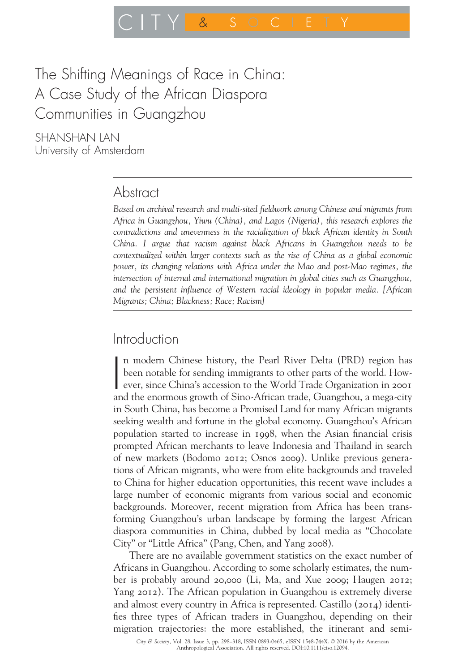The Shifting Meanings of Race in China: A Case Study of the African Diaspora Communities in Guangzhou

SHANSHAN LAN University of Amsterdam

# **Abstract**

Based on archival research and multi-sited fieldwork among Chinese and migrants from Africa in Guangzhou, Yiwu (China), and Lagos (Nigeria), this research explores the contradictions and unevenness in the racialization of black African identity in South China. I argue that racism against black Africans in Guangzhou needs to be contextualized within larger contexts such as the rise of China as a global economic power, its changing relations with Africa under the Mao and post-Mao regimes, the intersection of internal and international migration in global cities such as Guangzhou, and the persistent influence of Western racial ideology in popular media. [African Migrants; China; Blackness; Race; Racism]

## Introduction

In modern Chinese history, the Pearl River Delta (PRD) region has<br>been notable for sending immigrants to other parts of the world. How-<br>ever, since China's accession to the World Trade Organization in 2001<br>and the enormous n modern Chinese history, the Pearl River Delta (PRD) region has been notable for sending immigrants to other parts of the world. However, since China's accession to the World Trade Organization in 2001 in South China, has become a Promised Land for many African migrants seeking wealth and fortune in the global economy. Guangzhou's African population started to increase in 1998, when the Asian financial crisis prompted African merchants to leave Indonesia and Thailand in search of new markets (Bodomo 2012; Osnos 2009). Unlike previous generations of African migrants, who were from elite backgrounds and traveled to China for higher education opportunities, this recent wave includes a large number of economic migrants from various social and economic backgrounds. Moreover, recent migration from Africa has been transforming Guangzhou's urban landscape by forming the largest African diaspora communities in China, dubbed by local media as "Chocolate City" or "Little Africa" (Pang, Chen, and Yang 2008).

There are no available government statistics on the exact number of Africans in Guangzhou. According to some scholarly estimates, the number is probably around 20,000 (Li, Ma, and Xue 2009; Haugen 2012; Yang 2012). The African population in Guangzhou is extremely diverse and almost every country in Africa is represented. Castillo (2014) identifies three types of African traders in Guangzhou, depending on their migration trajectories: the more established, the itinerant and semi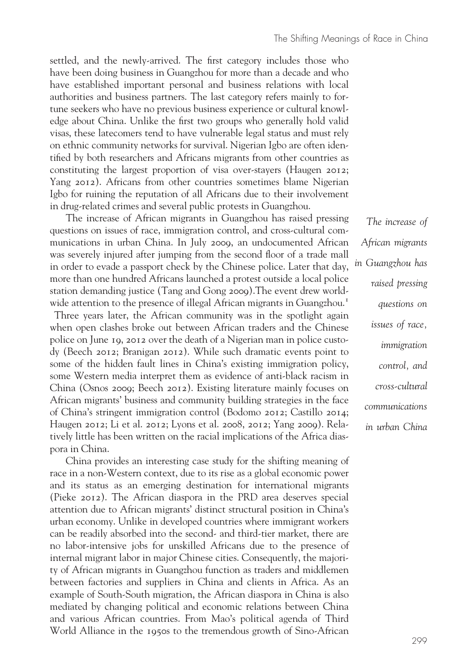settled, and the newly-arrived. The first category includes those who have been doing business in Guangzhou for more than a decade and who have established important personal and business relations with local authorities and business partners. The last category refers mainly to fortune seekers who have no previous business experience or cultural knowledge about China. Unlike the first two groups who generally hold valid visas, these latecomers tend to have vulnerable legal status and must rely on ethnic community networks for survival. Nigerian Igbo are often identified by both researchers and Africans migrants from other countries as constituting the largest proportion of visa over-stayers (Haugen 2012; Yang 2012). Africans from other countries sometimes blame Nigerian Igbo for ruining the reputation of all Africans due to their involvement in drug-related crimes and several public protests in Guangzhou.

The increase of African migrants in Guangzhou has raised pressing questions on issues of race, immigration control, and cross-cultural communications in urban China. In July 2009, an undocumented African was severely injured after jumping from the second floor of a trade mall in order to evade a passport check by the Chinese police. Later that day, more than one hundred Africans launched a protest outside a local police station demanding justice (Tang and Gong 2009).The event drew worldwide attention to the presence of illegal African migrants in Guangzhou.<sup>1</sup>

Three years later, the African community was in the spotlight again when open clashes broke out between African traders and the Chinese police on June 19, 2012 over the death of a Nigerian man in police custody (Beech 2012; Branigan 2012). While such dramatic events point to some of the hidden fault lines in China's existing immigration policy, some Western media interpret them as evidence of anti-black racism in China (Osnos 2009; Beech 2012). Existing literature mainly focuses on African migrants' business and community building strategies in the face of China's stringent immigration control (Bodomo 2012; Castillo 2014; Haugen 2012; Li et al. 2012; Lyons et al. 2008, 2012; Yang 2009). Relatively little has been written on the racial implications of the Africa diaspora in China.

China provides an interesting case study for the shifting meaning of race in a non-Western context, due to its rise as a global economic power and its status as an emerging destination for international migrants (Pieke 2012). The African diaspora in the PRD area deserves special attention due to African migrants' distinct structural position in China's urban economy. Unlike in developed countries where immigrant workers can be readily absorbed into the second- and third-tier market, there are no labor-intensive jobs for unskilled Africans due to the presence of internal migrant labor in major Chinese cities. Consequently, the majority of African migrants in Guangzhou function as traders and middlemen between factories and suppliers in China and clients in Africa. As an example of South-South migration, the African diaspora in China is also mediated by changing political and economic relations between China and various African countries. From Mao's political agenda of Third World Alliance in the 1950s to the tremendous growth of Sino-African

The increase of African migrants in Guangzhou has raised pressing questions on issues of race, immigration control, and cross-cultural communications in urban China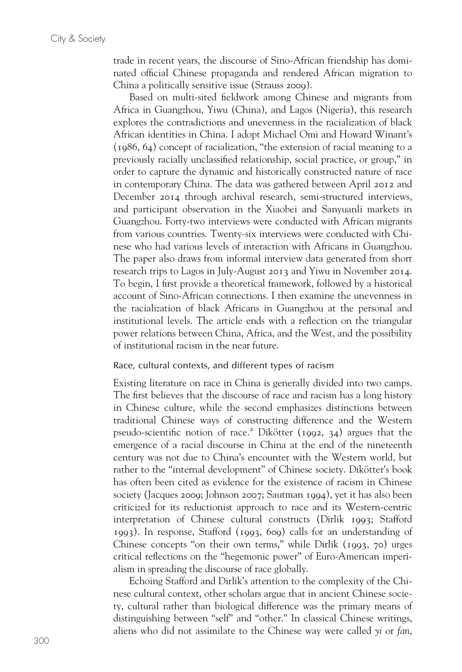trade in recent years, the discourse of Sino-African friendship has dominated official Chinese propaganda and rendered African migration to China a politically sensitive issue (Strauss 2009).

Based on multi-sited fieldwork among Chinese and migrants from Africa in Guangzhou, Yiwu (China), and Lagos (Nigeria), this research explores the contradictions and unevenness in the racialization of black African identities in China. I adopt Michael Omi and Howard Winant's (1986, 64) concept of racialization, "the extension of racial meaning to a previously racially unclassified relationship, social practice, or group," in order to capture the dynamic and historically constructed nature of race in contemporary China. The data was gathered between April 2012 and December 2014 through archival research, semi-structured interviews, and participant observation in the Xiaobei and Sanyuanli markets in Guangzhou. Forty-two interviews were conducted with African migrants from various countries. Twenty-six interviews were conducted with Chinese who had various levels of interaction with Africans in Guangzhou. The paper also draws from informal interview data generated from short research trips to Lagos in July-August 2013 and Yiwu in November 2014. To begin, I first provide a theoretical framework, followed by a historical account of Sino-African connections. I then examine the unevenness in the racialization of black Africans in Guangzhou at the personal and institutional levels. The article ends with a reflection on the triangular power relations between China, Africa, and the West, and the possibility of institutional racism in the near future.

#### Race, cultural contexts, and different types of racism

Existing literature on race in China is generally divided into two camps. The first believes that the discourse of race and racism has a long history in Chinese culture, while the second emphasizes distinctions between traditional Chinese ways of constructing difference and the Western pseudo-scientific notion of race.<sup>2</sup> Dikötter (1992, 34) argues that the emergence of a racial discourse in China at the end of the nineteenth century was not due to China's encounter with the Western world, but rather to the "internal development" of Chinese society. Dikötter's book has often been cited as evidence for the existence of racism in Chinese society (Jacques 2009; Johnson 2007; Sautman 1994), yet it has also been criticized for its reductionist approach to race and its Western-centric interpretation of Chinese cultural constructs (Dirlik 1993; Stafford 1993). In response, Stafford (1993, 609) calls for an understanding of Chinese concepts "on their own terms," while Dirlik (1993, 70) urges critical reflections on the "hegemonic power" of Euro-American imperialism in spreading the discourse of race globally.

Echoing Stafford and Dirlik's attention to the complexity of the Chinese cultural context, other scholars argue that in ancient Chinese society, cultural rather than biological difference was the primary means of distinguishing between "self" and "other." In classical Chinese writings, aliens who did not assimilate to the Chinese way were called yi or fan,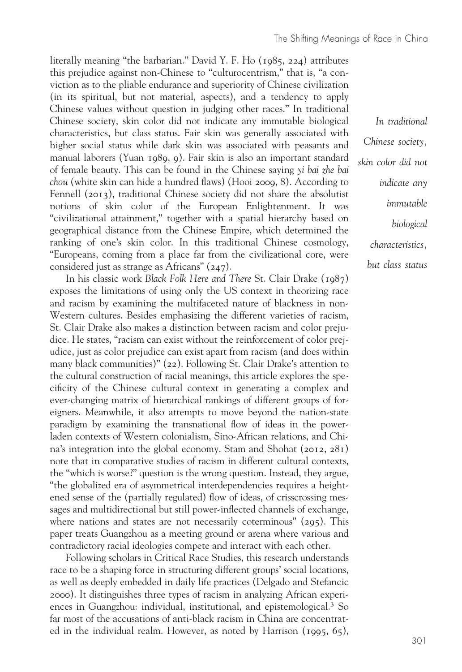literally meaning "the barbarian." David Y. F. Ho (1985, 224) attributes this prejudice against non-Chinese to "culturocentrism," that is, "a conviction as to the pliable endurance and superiority of Chinese civilization (in its spiritual, but not material, aspects), and a tendency to apply Chinese values without question in judging other races." In traditional Chinese society, skin color did not indicate any immutable biological characteristics, but class status. Fair skin was generally associated with higher social status while dark skin was associated with peasants and manual laborers (Yuan 1989, 9). Fair skin is also an important standard of female beauty. This can be found in the Chinese saying yi bai zhe bai chou (white skin can hide a hundred flaws) (Hooi 2009, 8). According to Fennell (2013), traditional Chinese society did not share the absolutist notions of skin color of the European Enlightenment. It was "civilizational attainment," together with a spatial hierarchy based on geographical distance from the Chinese Empire, which determined the ranking of one's skin color. In this traditional Chinese cosmology, "Europeans, coming from a place far from the civilizational core, were considered just as strange as Africans" (247).

In his classic work Black Folk Here and There St. Clair Drake (1987) exposes the limitations of using only the US context in theorizing race and racism by examining the multifaceted nature of blackness in non-Western cultures. Besides emphasizing the different varieties of racism, St. Clair Drake also makes a distinction between racism and color prejudice. He states, "racism can exist without the reinforcement of color prejudice, just as color prejudice can exist apart from racism (and does within many black communities)" (22). Following St. Clair Drake's attention to the cultural construction of racial meanings, this article explores the specificity of the Chinese cultural context in generating a complex and ever-changing matrix of hierarchical rankings of different groups of foreigners. Meanwhile, it also attempts to move beyond the nation-state paradigm by examining the transnational flow of ideas in the powerladen contexts of Western colonialism, Sino-African relations, and China's integration into the global economy. Stam and Shohat (2012, 281) note that in comparative studies of racism in different cultural contexts, the "which is worse?" question is the wrong question. Instead, they argue, "the globalized era of asymmetrical interdependencies requires a heightened sense of the (partially regulated) flow of ideas, of crisscrossing messages and multidirectional but still power-inflected channels of exchange, where nations and states are not necessarily coterminous" (295). This paper treats Guangzhou as a meeting ground or arena where various and contradictory racial ideologies compete and interact with each other.

Following scholars in Critical Race Studies, this research understands race to be a shaping force in structuring different groups' social locations, as well as deeply embedded in daily life practices (Delgado and Stefancic 2000). It distinguishes three types of racism in analyzing African experiences in Guangzhou: individual, institutional, and epistemological.<sup>3</sup> So far most of the accusations of anti-black racism in China are concentrated in the individual realm. However, as noted by Harrison (1995, 65),

In traditional Chinese society, skin color did not indicate any immutable biological characteristics, but class status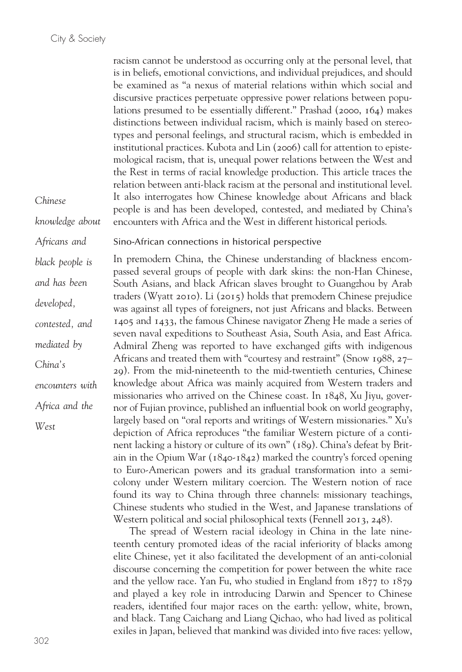racism cannot be understood as occurring only at the personal level, that is in beliefs, emotional convictions, and individual prejudices, and should be examined as "a nexus of material relations within which social and discursive practices perpetuate oppressive power relations between populations presumed to be essentially different." Prashad (2000, 164) makes distinctions between individual racism, which is mainly based on stereotypes and personal feelings, and structural racism, which is embedded in institutional practices. Kubota and Lin (2006) call for attention to epistemological racism, that is, unequal power relations between the West and the Rest in terms of racial knowledge production. This article traces the relation between anti-black racism at the personal and institutional level. It also interrogates how Chinese knowledge about Africans and black people is and has been developed, contested, and mediated by China's encounters with Africa and the West in different historical periods.

Chinese

China's

West

knowledge about Africans and

#### Sino-African connections in historical perspective

In premodern China, the Chinese understanding of blackness encompassed several groups of people with dark skins: the non-Han Chinese, South Asians, and black African slaves brought to Guangzhou by Arab traders (Wyatt 2010). Li (2015) holds that premodern Chinese prejudice was against all types of foreigners, not just Africans and blacks. Between 1405 and 1433, the famous Chinese navigator Zheng He made a series of seven naval expeditions to Southeast Asia, South Asia, and East Africa. Admiral Zheng was reported to have exchanged gifts with indigenous Africans and treated them with "courtesy and restraint" (Snow 1988, 27– 29). From the mid-nineteenth to the mid-twentieth centuries, Chinese knowledge about Africa was mainly acquired from Western traders and missionaries who arrived on the Chinese coast. In 1848, Xu Jiyu, governor of Fujian province, published an influential book on world geography, largely based on "oral reports and writings of Western missionaries." Xu's depiction of Africa reproduces "the familiar Western picture of a continent lacking a history or culture of its own" (189). China's defeat by Britain in the Opium War (1840-1842) marked the country's forced opening to Euro-American powers and its gradual transformation into a semicolony under Western military coercion. The Western notion of race found its way to China through three channels: missionary teachings, Chinese students who studied in the West, and Japanese translations of Western political and social philosophical texts (Fennell 2013, 248). black people is and has been developed, contested, and mediated by encounters with Africa and the

> The spread of Western racial ideology in China in the late nineteenth century promoted ideas of the racial inferiority of blacks among elite Chinese, yet it also facilitated the development of an anti-colonial discourse concerning the competition for power between the white race and the yellow race. Yan Fu, who studied in England from 1877 to 1879 and played a key role in introducing Darwin and Spencer to Chinese readers, identified four major races on the earth: yellow, white, brown, and black. Tang Caichang and Liang Qichao, who had lived as political exiles in Japan, believed that mankind was divided into five races: yellow,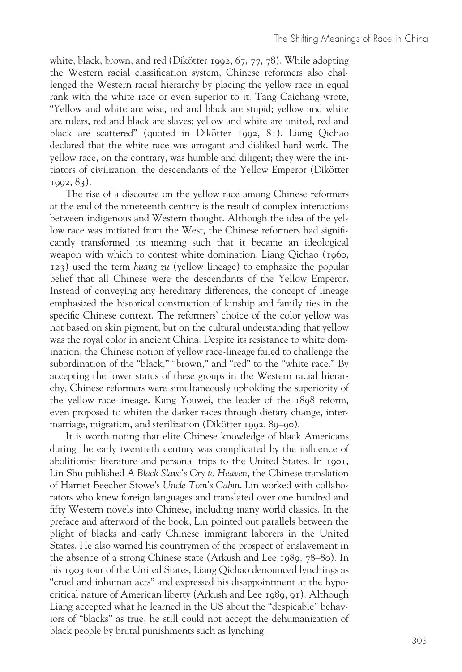white, black, brown, and red (Dikötter 1992, 67, 77, 78). While adopting the Western racial classification system, Chinese reformers also challenged the Western racial hierarchy by placing the yellow race in equal rank with the white race or even superior to it. Tang Caichang wrote, "Yellow and white are wise, red and black are stupid; yellow and white are rulers, red and black are slaves; yellow and white are united, red and black are scattered" (quoted in Dikötter 1992, 81). Liang Qichao declared that the white race was arrogant and disliked hard work. The yellow race, on the contrary, was humble and diligent; they were the initiators of civilization, the descendants of the Yellow Emperor (Dikötter 1992, 83).

The rise of a discourse on the yellow race among Chinese reformers at the end of the nineteenth century is the result of complex interactions between indigenous and Western thought. Although the idea of the yellow race was initiated from the West, the Chinese reformers had significantly transformed its meaning such that it became an ideological weapon with which to contest white domination. Liang Qichao (1960, 123) used the term huang zu (yellow lineage) to emphasize the popular belief that all Chinese were the descendants of the Yellow Emperor. Instead of conveying any hereditary differences, the concept of lineage emphasized the historical construction of kinship and family ties in the specific Chinese context. The reformers' choice of the color yellow was not based on skin pigment, but on the cultural understanding that yellow was the royal color in ancient China. Despite its resistance to white domination, the Chinese notion of yellow race-lineage failed to challenge the subordination of the "black," "brown," and "red" to the "white race." By accepting the lower status of these groups in the Western racial hierarchy, Chinese reformers were simultaneously upholding the superiority of the yellow race-lineage. Kang Youwei, the leader of the 1898 reform, even proposed to whiten the darker races through dietary change, intermarriage, migration, and sterilization (Dikötter 1992, 89–90).

It is worth noting that elite Chinese knowledge of black Americans during the early twentieth century was complicated by the influence of abolitionist literature and personal trips to the United States. In 1901, Lin Shu published A Black Slave's Cry to Heaven, the Chinese translation of Harriet Beecher Stowe's Uncle Tom's Cabin. Lin worked with collaborators who knew foreign languages and translated over one hundred and fifty Western novels into Chinese, including many world classics. In the preface and afterword of the book, Lin pointed out parallels between the plight of blacks and early Chinese immigrant laborers in the United States. He also warned his countrymen of the prospect of enslavement in the absence of a strong Chinese state (Arkush and Lee 1989, 78–80). In his 1903 tour of the United States, Liang Qichao denounced lynchings as "cruel and inhuman acts" and expressed his disappointment at the hypocritical nature of American liberty (Arkush and Lee 1989, 91). Although Liang accepted what he learned in the US about the "despicable" behaviors of "blacks" as true, he still could not accept the dehumanization of black people by brutal punishments such as lynching.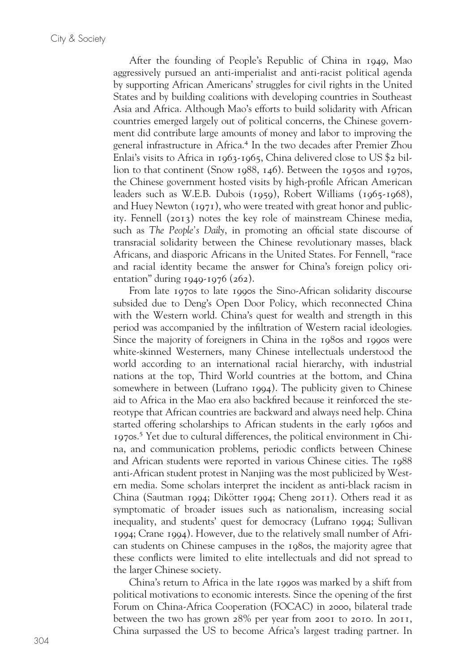After the founding of People's Republic of China in 1949, Mao aggressively pursued an anti-imperialist and anti-racist political agenda by supporting African Americans' struggles for civil rights in the United States and by building coalitions with developing countries in Southeast Asia and Africa. Although Mao's efforts to build solidarity with African countries emerged largely out of political concerns, the Chinese government did contribute large amounts of money and labor to improving the general infrastructure in Africa.<sup>4</sup> In the two decades after Premier Zhou Enlai's visits to Africa in 1963-1965, China delivered close to US \$2 billion to that continent (Snow 1988, 146). Between the 1950s and 1970s, the Chinese government hosted visits by high-profile African American leaders such as W.E.B. Dubois (1959), Robert Williams (1965-1968), and Huey Newton (1971), who were treated with great honor and publicity. Fennell (2013) notes the key role of mainstream Chinese media, such as The People's Daily, in promoting an official state discourse of transracial solidarity between the Chinese revolutionary masses, black Africans, and diasporic Africans in the United States. For Fennell, "race and racial identity became the answer for China's foreign policy orientation" during 1949-1976 (262).

From late 1970s to late 1990s the Sino-African solidarity discourse subsided due to Deng's Open Door Policy, which reconnected China with the Western world. China's quest for wealth and strength in this period was accompanied by the infiltration of Western racial ideologies. Since the majority of foreigners in China in the 1980s and 1990s were white-skinned Westerners, many Chinese intellectuals understood the world according to an international racial hierarchy, with industrial nations at the top, Third World countries at the bottom, and China somewhere in between (Lufrano 1994). The publicity given to Chinese aid to Africa in the Mao era also backfired because it reinforced the stereotype that African countries are backward and always need help. China started offering scholarships to African students in the early 1960s and 1970s.<sup>5</sup> Yet due to cultural differences, the political environment in China, and communication problems, periodic conflicts between Chinese and African students were reported in various Chinese cities. The 1988 anti-African student protest in Nanjing was the most publicized by Western media. Some scholars interpret the incident as anti-black racism in China (Sautman 1994; Dikötter 1994; Cheng 2011). Others read it as symptomatic of broader issues such as nationalism, increasing social inequality, and students' quest for democracy (Lufrano 1994; Sullivan 1994; Crane 1994). However, due to the relatively small number of African students on Chinese campuses in the 1980s, the majority agree that these conflicts were limited to elite intellectuals and did not spread to the larger Chinese society.

China's return to Africa in the late 1990s was marked by a shift from political motivations to economic interests. Since the opening of the first Forum on China-Africa Cooperation (FOCAC) in 2000, bilateral trade between the two has grown 28% per year from 2001 to 2010. In 2011, China surpassed the US to become Africa's largest trading partner. In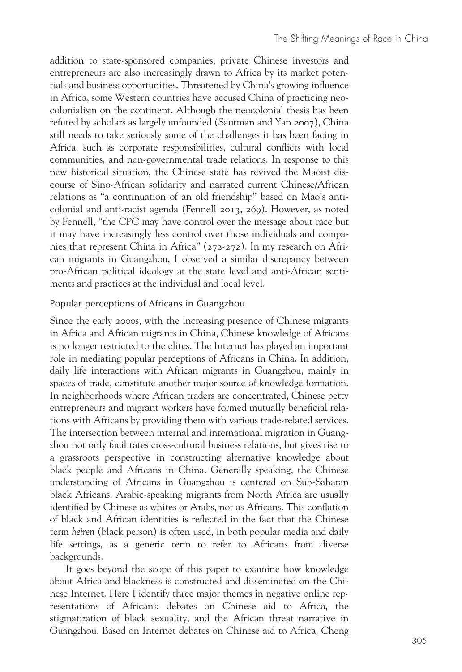addition to state-sponsored companies, private Chinese investors and entrepreneurs are also increasingly drawn to Africa by its market potentials and business opportunities. Threatened by China's growing influence in Africa, some Western countries have accused China of practicing neocolonialism on the continent. Although the neocolonial thesis has been refuted by scholars as largely unfounded (Sautman and Yan 2007), China still needs to take seriously some of the challenges it has been facing in Africa, such as corporate responsibilities, cultural conflicts with local communities, and non-governmental trade relations. In response to this new historical situation, the Chinese state has revived the Maoist discourse of Sino-African solidarity and narrated current Chinese/African relations as "a continuation of an old friendship" based on Mao's anticolonial and anti-racist agenda (Fennell 2013, 269). However, as noted by Fennell, "the CPC may have control over the message about race but it may have increasingly less control over those individuals and companies that represent China in Africa" (272-272). In my research on African migrants in Guangzhou, I observed a similar discrepancy between pro-African political ideology at the state level and anti-African sentiments and practices at the individual and local level.

#### Popular perceptions of Africans in Guangzhou

Since the early 2000s, with the increasing presence of Chinese migrants in Africa and African migrants in China, Chinese knowledge of Africans is no longer restricted to the elites. The Internet has played an important role in mediating popular perceptions of Africans in China. In addition, daily life interactions with African migrants in Guangzhou, mainly in spaces of trade, constitute another major source of knowledge formation. In neighborhoods where African traders are concentrated, Chinese petty entrepreneurs and migrant workers have formed mutually beneficial relations with Africans by providing them with various trade-related services. The intersection between internal and international migration in Guangzhou not only facilitates cross-cultural business relations, but gives rise to a grassroots perspective in constructing alternative knowledge about black people and Africans in China. Generally speaking, the Chinese understanding of Africans in Guangzhou is centered on Sub-Saharan black Africans. Arabic-speaking migrants from North Africa are usually identified by Chinese as whites or Arabs, not as Africans. This conflation of black and African identities is reflected in the fact that the Chinese term heiren (black person) is often used, in both popular media and daily life settings, as a generic term to refer to Africans from diverse backgrounds.

It goes beyond the scope of this paper to examine how knowledge about Africa and blackness is constructed and disseminated on the Chinese Internet. Here I identify three major themes in negative online representations of Africans: debates on Chinese aid to Africa, the stigmatization of black sexuality, and the African threat narrative in Guangzhou. Based on Internet debates on Chinese aid to Africa, Cheng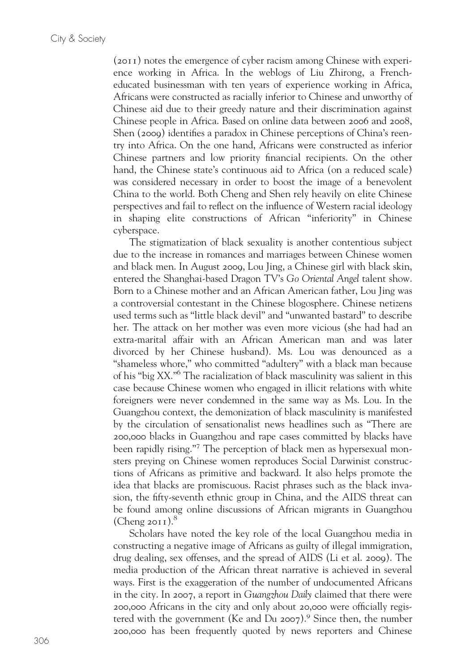(2011) notes the emergence of cyber racism among Chinese with experience working in Africa. In the weblogs of Liu Zhirong, a Frencheducated businessman with ten years of experience working in Africa, Africans were constructed as racially inferior to Chinese and unworthy of Chinese aid due to their greedy nature and their discrimination against Chinese people in Africa. Based on online data between 2006 and 2008, Shen (2009) identifies a paradox in Chinese perceptions of China's reentry into Africa. On the one hand, Africans were constructed as inferior Chinese partners and low priority financial recipients. On the other hand, the Chinese state's continuous aid to Africa (on a reduced scale) was considered necessary in order to boost the image of a benevolent China to the world. Both Cheng and Shen rely heavily on elite Chinese perspectives and fail to reflect on the influence of Western racial ideology in shaping elite constructions of African "inferiority" in Chinese cyberspace.

The stigmatization of black sexuality is another contentious subject due to the increase in romances and marriages between Chinese women and black men. In August 2009, Lou Jing, a Chinese girl with black skin, entered the Shanghai-based Dragon TV's Go Oriental Angel talent show. Born to a Chinese mother and an African American father, Lou Jing was a controversial contestant in the Chinese blogosphere. Chinese netizens used terms such as "little black devil" and "unwanted bastard" to describe her. The attack on her mother was even more vicious (she had had an extra-marital affair with an African American man and was later divorced by her Chinese husband). Ms. Lou was denounced as a "shameless whore," who committed "adultery" with a black man because of his "big XX."<sup>6</sup> The racialization of black masculinity was salient in this case because Chinese women who engaged in illicit relations with white foreigners were never condemned in the same way as Ms. Lou. In the Guangzhou context, the demonization of black masculinity is manifested by the circulation of sensationalist news headlines such as "There are 200,000 blacks in Guangzhou and rape cases committed by blacks have been rapidly rising."<sup>7</sup> The perception of black men as hypersexual monsters preying on Chinese women reproduces Social Darwinist constructions of Africans as primitive and backward. It also helps promote the idea that blacks are promiscuous. Racist phrases such as the black invasion, the fifty-seventh ethnic group in China, and the AIDS threat can be found among online discussions of African migrants in Guangzhou  $(Cheng 2011)<sup>8</sup>$ 

Scholars have noted the key role of the local Guangzhou media in constructing a negative image of Africans as guilty of illegal immigration, drug dealing, sex offenses, and the spread of AIDS (Li et al. 2009). The media production of the African threat narrative is achieved in several ways. First is the exaggeration of the number of undocumented Africans in the city. In 2007, a report in Guangzhou Daily claimed that there were 200,000 Africans in the city and only about 20,000 were officially registered with the government (Ke and Du 2007).<sup>9</sup> Since then, the number 200,000 has been frequently quoted by news reporters and Chinese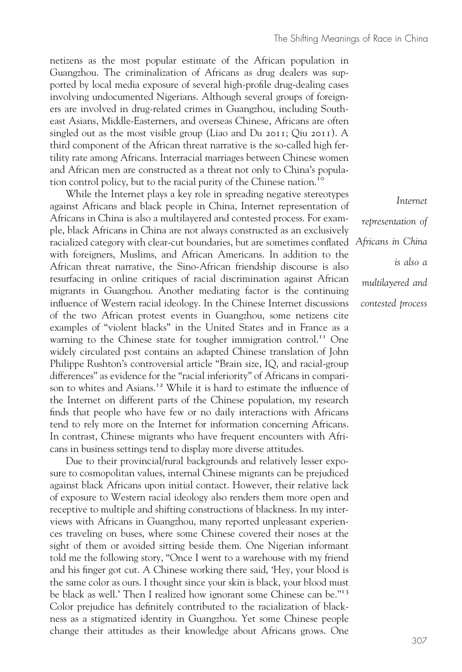netizens as the most popular estimate of the African population in Guangzhou. The criminalization of Africans as drug dealers was supported by local media exposure of several high-profile drug-dealing cases involving undocumented Nigerians. Although several groups of foreigners are involved in drug-related crimes in Guangzhou, including Southeast Asians, Middle-Easterners, and overseas Chinese, Africans are often singled out as the most visible group (Liao and Du 2011; Qiu 2011). A third component of the African threat narrative is the so-called high fertility rate among Africans. Interracial marriages between Chinese women and African men are constructed as a threat not only to China's population control policy, but to the racial purity of the Chinese nation.<sup>10</sup>

While the Internet plays a key role in spreading negative stereotypes against Africans and black people in China, Internet representation of Africans in China is also a multilayered and contested process. For example, black Africans in China are not always constructed as an exclusively racialized category with clear-cut boundaries, but are sometimes conflated Africans in China with foreigners, Muslims, and African Americans. In addition to the African threat narrative, the Sino-African friendship discourse is also resurfacing in online critiques of racial discrimination against African migrants in Guangzhou. Another mediating factor is the continuing influence of Western racial ideology. In the Chinese Internet discussions of the two African protest events in Guangzhou, some netizens cite examples of "violent blacks" in the United States and in France as a warning to the Chinese state for tougher immigration control.<sup>11</sup> One widely circulated post contains an adapted Chinese translation of John Philippe Rushton's controversial article "Brain size, IQ, and racial-group differences" as evidence for the "racial inferiority" of Africans in comparison to whites and Asians.<sup>12</sup> While it is hard to estimate the influence of the Internet on different parts of the Chinese population, my research finds that people who have few or no daily interactions with Africans tend to rely more on the Internet for information concerning Africans. In contrast, Chinese migrants who have frequent encounters with Africans in business settings tend to display more diverse attitudes.

Due to their provincial/rural backgrounds and relatively lesser exposure to cosmopolitan values, internal Chinese migrants can be prejudiced against black Africans upon initial contact. However, their relative lack of exposure to Western racial ideology also renders them more open and receptive to multiple and shifting constructions of blackness. In my interviews with Africans in Guangzhou, many reported unpleasant experiences traveling on buses, where some Chinese covered their noses at the sight of them or avoided sitting beside them. One Nigerian informant told me the following story, "Once I went to a warehouse with my friend and his finger got cut. A Chinese working there said, 'Hey, your blood is the same color as ours. I thought since your skin is black, your blood must be black as well.' Then I realized how ignorant some Chinese can be."<sup>13</sup> Color prejudice has definitely contributed to the racialization of blackness as a stigmatized identity in Guangzhou. Yet some Chinese people change their attitudes as their knowledge about Africans grows. One

Internet representation of is also a multilayered and contested process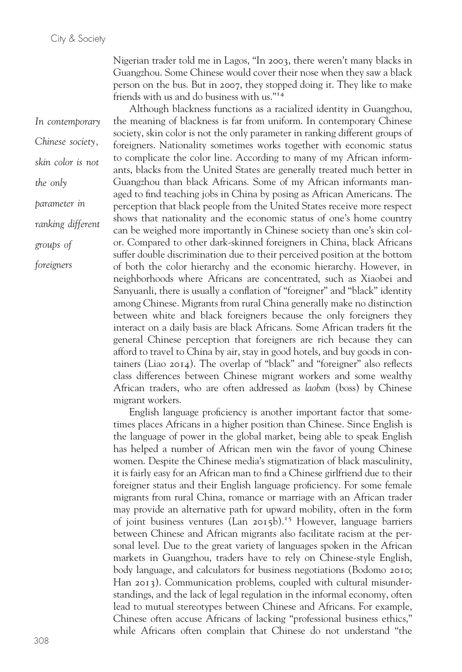Nigerian trader told me in Lagos, "In 2003, there weren't many blacks in Guangzhou. Some Chinese would cover their nose when they saw a black person on the bus. But in 2007, they stopped doing it. They like to make friends with us and do business with us."<sup>14</sup>

Although blackness functions as a racialized identity in Guangzhou, the meaning of blackness is far from uniform. In contemporary Chinese society, skin color is not the only parameter in ranking different groups of foreigners. Nationality sometimes works together with economic status to complicate the color line. According to many of my African informants, blacks from the United States are generally treated much better in Guangzhou than black Africans. Some of my African informants managed to find teaching jobs in China by posing as African Americans. The perception that black people from the United States receive more respect shows that nationality and the economic status of one's home country can be weighed more importantly in Chinese society than one's skin color. Compared to other dark-skinned foreigners in China, black Africans suffer double discrimination due to their perceived position at the bottom of both the color hierarchy and the economic hierarchy. However, in neighborhoods where Africans are concentrated, such as Xiaobei and Sanyuanli, there is usually a conflation of "foreigner" and "black" identity among Chinese. Migrants from rural China generally make no distinction between white and black foreigners because the only foreigners they interact on a daily basis are black Africans. Some African traders fit the general Chinese perception that foreigners are rich because they can afford to travel to China by air, stay in good hotels, and buy goods in containers (Liao 2014). The overlap of "black" and "foreigner" also reflects class differences between Chinese migrant workers and some wealthy African traders, who are often addressed as laoban (boss) by Chinese migrant workers.

English language proficiency is another important factor that sometimes places Africans in a higher position than Chinese. Since English is the language of power in the global market, being able to speak English has helped a number of African men win the favor of young Chinese women. Despite the Chinese media's stigmatization of black masculinity, it is fairly easy for an African man to find a Chinese girlfriend due to their foreigner status and their English language proficiency. For some female migrants from rural China, romance or marriage with an African trader may provide an alternative path for upward mobility, often in the form of joint business ventures (Lan 2015b).<sup>15</sup> However, language barriers between Chinese and African migrants also facilitate racism at the personal level. Due to the great variety of languages spoken in the African markets in Guangzhou, traders have to rely on Chinese-style English, body language, and calculators for business negotiations (Bodomo 2010; Han 2013). Communication problems, coupled with cultural misunderstandings, and the lack of legal regulation in the informal economy, often lead to mutual stereotypes between Chinese and Africans. For example, Chinese often accuse Africans of lacking "professional business ethics," while Africans often complain that Chinese do not understand "the

In contemporary Chinese society, skin color is not the only parameter in ranking different groups of foreigners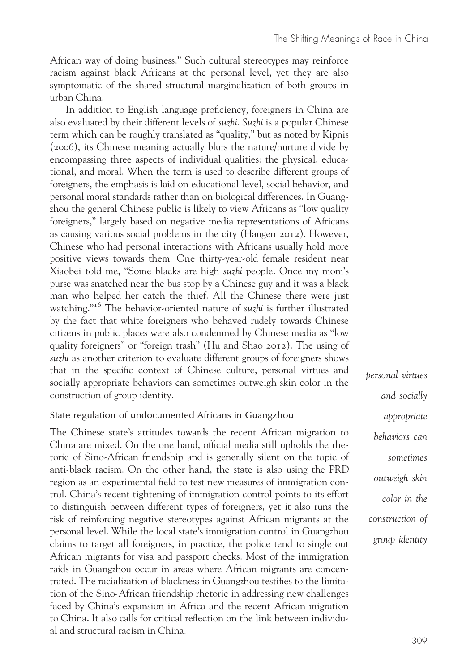African way of doing business." Such cultural stereotypes may reinforce racism against black Africans at the personal level, yet they are also symptomatic of the shared structural marginalization of both groups in urban China.

In addition to English language proficiency, foreigners in China are also evaluated by their different levels of suzhi. Suzhi is a popular Chinese term which can be roughly translated as "quality," but as noted by Kipnis (2006), its Chinese meaning actually blurs the nature/nurture divide by encompassing three aspects of individual qualities: the physical, educational, and moral. When the term is used to describe different groups of foreigners, the emphasis is laid on educational level, social behavior, and personal moral standards rather than on biological differences. In Guangzhou the general Chinese public is likely to view Africans as "low quality foreigners," largely based on negative media representations of Africans as causing various social problems in the city (Haugen 2012). However, Chinese who had personal interactions with Africans usually hold more positive views towards them. One thirty-year-old female resident near Xiaobei told me, "Some blacks are high suzhi people. Once my mom's purse was snatched near the bus stop by a Chinese guy and it was a black man who helped her catch the thief. All the Chinese there were just watching."<sup>16</sup> The behavior-oriented nature of *suzhi* is further illustrated by the fact that white foreigners who behaved rudely towards Chinese citizens in public places were also condemned by Chinese media as "low quality foreigners" or "foreign trash" (Hu and Shao 2012). The using of suzhi as another criterion to evaluate different groups of foreigners shows that in the specific context of Chinese culture, personal virtues and socially appropriate behaviors can sometimes outweigh skin color in the construction of group identity.

#### State regulation of undocumented Africans in Guangzhou

The Chinese state's attitudes towards the recent African migration to China are mixed. On the one hand, official media still upholds the rhetoric of Sino-African friendship and is generally silent on the topic of anti-black racism. On the other hand, the state is also using the PRD region as an experimental field to test new measures of immigration control. China's recent tightening of immigration control points to its effort to distinguish between different types of foreigners, yet it also runs the risk of reinforcing negative stereotypes against African migrants at the personal level. While the local state's immigration control in Guangzhou claims to target all foreigners, in practice, the police tend to single out African migrants for visa and passport checks. Most of the immigration raids in Guangzhou occur in areas where African migrants are concentrated. The racialization of blackness in Guangzhou testifies to the limitation of the Sino-African friendship rhetoric in addressing new challenges faced by China's expansion in Africa and the recent African migration to China. It also calls for critical reflection on the link between individual and structural racism in China.

personal virtues and socially appropriate behaviors can sometimes outweigh skin color in the construction of group identity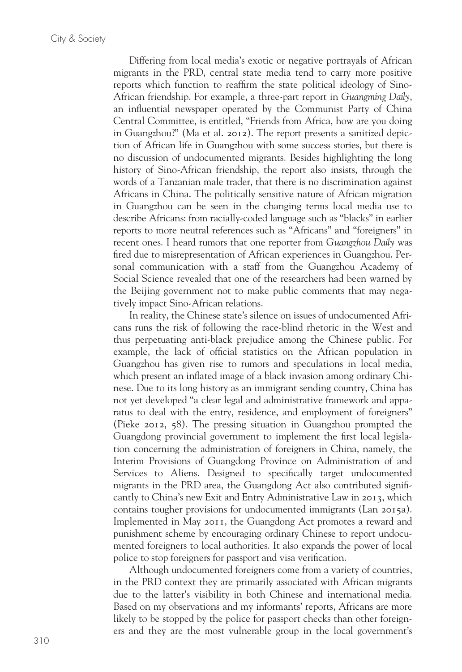Differing from local media's exotic or negative portrayals of African migrants in the PRD, central state media tend to carry more positive reports which function to reaffirm the state political ideology of Sino-African friendship. For example, a three-part report in Guangming Daily, an influential newspaper operated by the Communist Party of China Central Committee, is entitled, "Friends from Africa, how are you doing in Guangzhou?" (Ma et al. 2012). The report presents a sanitized depiction of African life in Guangzhou with some success stories, but there is no discussion of undocumented migrants. Besides highlighting the long history of Sino-African friendship, the report also insists, through the words of a Tanzanian male trader, that there is no discrimination against Africans in China. The politically sensitive nature of African migration in Guangzhou can be seen in the changing terms local media use to describe Africans: from racially-coded language such as "blacks" in earlier reports to more neutral references such as "Africans" and "foreigners" in recent ones. I heard rumors that one reporter from Guangzhou Daily was fired due to misrepresentation of African experiences in Guangzhou. Personal communication with a staff from the Guangzhou Academy of Social Science revealed that one of the researchers had been warned by the Beijing government not to make public comments that may negatively impact Sino-African relations.

In reality, the Chinese state's silence on issues of undocumented Africans runs the risk of following the race-blind rhetoric in the West and thus perpetuating anti-black prejudice among the Chinese public. For example, the lack of official statistics on the African population in Guangzhou has given rise to rumors and speculations in local media, which present an inflated image of a black invasion among ordinary Chinese. Due to its long history as an immigrant sending country, China has not yet developed "a clear legal and administrative framework and apparatus to deal with the entry, residence, and employment of foreigners" (Pieke 2012, 58). The pressing situation in Guangzhou prompted the Guangdong provincial government to implement the first local legislation concerning the administration of foreigners in China, namely, the Interim Provisions of Guangdong Province on Administration of and Services to Aliens. Designed to specifically target undocumented migrants in the PRD area, the Guangdong Act also contributed significantly to China's new Exit and Entry Administrative Law in 2013, which contains tougher provisions for undocumented immigrants (Lan 2015a). Implemented in May 2011, the Guangdong Act promotes a reward and punishment scheme by encouraging ordinary Chinese to report undocumented foreigners to local authorities. It also expands the power of local police to stop foreigners for passport and visa verification.

Although undocumented foreigners come from a variety of countries, in the PRD context they are primarily associated with African migrants due to the latter's visibility in both Chinese and international media. Based on my observations and my informants' reports, Africans are more likely to be stopped by the police for passport checks than other foreigners and they are the most vulnerable group in the local government's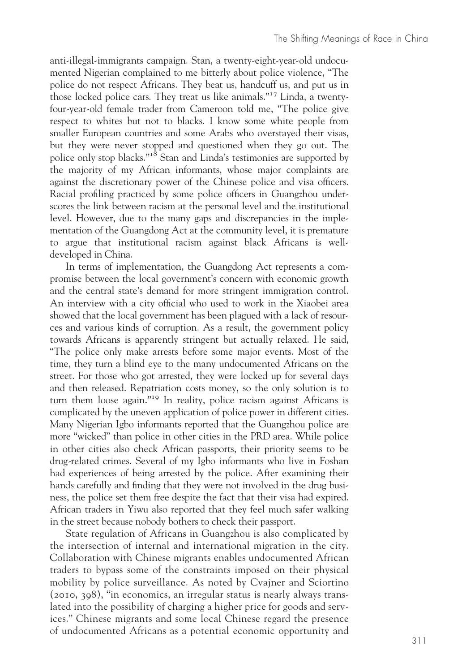anti-illegal-immigrants campaign. Stan, a twenty-eight-year-old undocumented Nigerian complained to me bitterly about police violence, "The police do not respect Africans. They beat us, handcuff us, and put us in those locked police cars. They treat us like animals."<sup>17</sup> Linda, a twentyfour-year-old female trader from Cameroon told me, "The police give respect to whites but not to blacks. I know some white people from smaller European countries and some Arabs who overstayed their visas, but they were never stopped and questioned when they go out. The police only stop blacks."<sup>18</sup> Stan and Linda's testimonies are supported by the majority of my African informants, whose major complaints are against the discretionary power of the Chinese police and visa officers. Racial profiling practiced by some police officers in Guangzhou underscores the link between racism at the personal level and the institutional level. However, due to the many gaps and discrepancies in the implementation of the Guangdong Act at the community level, it is premature to argue that institutional racism against black Africans is welldeveloped in China.

In terms of implementation, the Guangdong Act represents a compromise between the local government's concern with economic growth and the central state's demand for more stringent immigration control. An interview with a city official who used to work in the Xiaobei area showed that the local government has been plagued with a lack of resources and various kinds of corruption. As a result, the government policy towards Africans is apparently stringent but actually relaxed. He said, "The police only make arrests before some major events. Most of the time, they turn a blind eye to the many undocumented Africans on the street. For those who got arrested, they were locked up for several days and then released. Repatriation costs money, so the only solution is to turn them loose again."<sup>19</sup> In reality, police racism against Africans is complicated by the uneven application of police power in different cities. Many Nigerian Igbo informants reported that the Guangzhou police are more "wicked" than police in other cities in the PRD area. While police in other cities also check African passports, their priority seems to be drug-related crimes. Several of my Igbo informants who live in Foshan had experiences of being arrested by the police. After examining their hands carefully and finding that they were not involved in the drug business, the police set them free despite the fact that their visa had expired. African traders in Yiwu also reported that they feel much safer walking in the street because nobody bothers to check their passport.

State regulation of Africans in Guangzhou is also complicated by the intersection of internal and international migration in the city. Collaboration with Chinese migrants enables undocumented African traders to bypass some of the constraints imposed on their physical mobility by police surveillance. As noted by Cvajner and Sciortino (2010, 398), "in economics, an irregular status is nearly always translated into the possibility of charging a higher price for goods and services." Chinese migrants and some local Chinese regard the presence of undocumented Africans as a potential economic opportunity and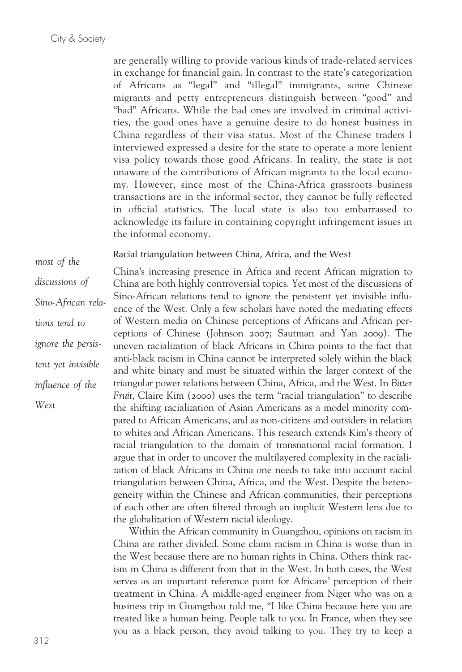are generally willing to provide various kinds of trade-related services in exchange for financial gain. In contrast to the state's categorization of Africans as "legal" and "illegal" immigrants, some Chinese migrants and petty entrepreneurs distinguish between "good" and "bad" Africans. While the bad ones are involved in criminal activities, the good ones have a genuine desire to do honest business in China regardless of their visa status. Most of the Chinese traders I interviewed expressed a desire for the state to operate a more lenient visa policy towards those good Africans. In reality, the state is not unaware of the contributions of African migrants to the local economy. However, since most of the China-Africa grassroots business transactions are in the informal sector, they cannot be fully reflected in official statistics. The local state is also too embarrassed to acknowledge its failure in containing copyright infringement issues in the informal economy.

Racial triangulation between China, Africa, and the West

China's increasing presence in Africa and recent African migration to China are both highly controversial topics. Yet most of the discussions of Sino-African relations tend to ignore the persistent yet invisible influence of the West. Only a few scholars have noted the mediating effects of Western media on Chinese perceptions of Africans and African perceptions of Chinese (Johnson 2007; Sautman and Yan 2009). The uneven racialization of black Africans in China points to the fact that anti-black racism in China cannot be interpreted solely within the black and white binary and must be situated within the larger context of the triangular power relations between China, Africa, and the West. In Bitter Fruit, Claire Kim (2000) uses the term "racial triangulation" to describe the shifting racialization of Asian Americans as a model minority compared to African Americans, and as non-citizens and outsiders in relation to whites and African Americans. This research extends Kim's theory of racial triangulation to the domain of transnational racial formation. I argue that in order to uncover the multilayered complexity in the racialization of black Africans in China one needs to take into account racial triangulation between China, Africa, and the West. Despite the heterogeneity within the Chinese and African communities, their perceptions of each other are often filtered through an implicit Western lens due to the globalization of Western racial ideology.

Within the African community in Guangzhou, opinions on racism in China are rather divided. Some claim racism in China is worse than in the West because there are no human rights in China. Others think racism in China is different from that in the West. In both cases, the West serves as an important reference point for Africans' perception of their treatment in China. A middle-aged engineer from Niger who was on a business trip in Guangzhou told me, "I like China because here you are treated like a human being. People talk to you. In France, when they see you as a black person, they avoid talking to you. They try to keep a

most of the discussions of Sino-African relations tend to ignore the persistent yet invisible influence of the West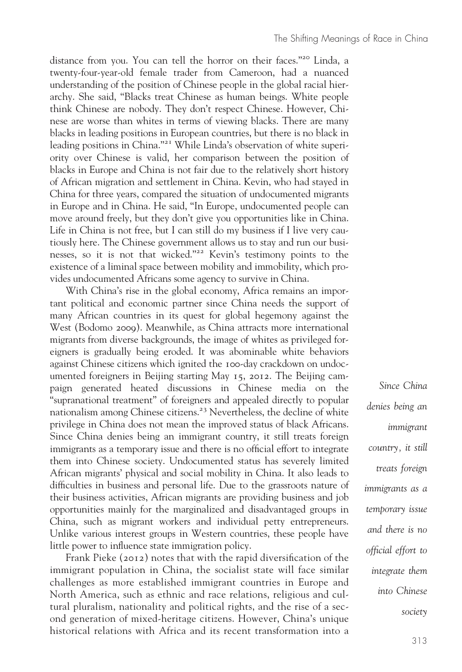distance from you. You can tell the horror on their faces."<sup>20</sup> Linda, a twenty-four-year-old female trader from Cameroon, had a nuanced understanding of the position of Chinese people in the global racial hierarchy. She said, "Blacks treat Chinese as human beings. White people think Chinese are nobody. They don't respect Chinese. However, Chinese are worse than whites in terms of viewing blacks. There are many blacks in leading positions in European countries, but there is no black in leading positions in China."<sup>21</sup> While Linda's observation of white superiority over Chinese is valid, her comparison between the position of blacks in Europe and China is not fair due to the relatively short history of African migration and settlement in China. Kevin, who had stayed in China for three years, compared the situation of undocumented migrants in Europe and in China. He said, "In Europe, undocumented people can move around freely, but they don't give you opportunities like in China. Life in China is not free, but I can still do my business if I live very cautiously here. The Chinese government allows us to stay and run our businesses, so it is not that wicked."<sup>22</sup> Kevin's testimony points to the existence of a liminal space between mobility and immobility, which provides undocumented Africans some agency to survive in China.

With China's rise in the global economy, Africa remains an important political and economic partner since China needs the support of many African countries in its quest for global hegemony against the West (Bodomo 2009). Meanwhile, as China attracts more international migrants from diverse backgrounds, the image of whites as privileged foreigners is gradually being eroded. It was abominable white behaviors against Chinese citizens which ignited the 100-day crackdown on undocumented foreigners in Beijing starting May 15, 2012. The Beijing campaign generated heated discussions in Chinese media on the "supranational treatment" of foreigners and appealed directly to popular nationalism among Chinese citizens.<sup>23</sup> Nevertheless, the decline of white privilege in China does not mean the improved status of black Africans. Since China denies being an immigrant country, it still treats foreign immigrants as a temporary issue and there is no official effort to integrate them into Chinese society. Undocumented status has severely limited African migrants' physical and social mobility in China. It also leads to difficulties in business and personal life. Due to the grassroots nature of their business activities, African migrants are providing business and job opportunities mainly for the marginalized and disadvantaged groups in China, such as migrant workers and individual petty entrepreneurs. Unlike various interest groups in Western countries, these people have little power to influence state immigration policy.

Frank Pieke (2012) notes that with the rapid diversification of the immigrant population in China, the socialist state will face similar challenges as more established immigrant countries in Europe and North America, such as ethnic and race relations, religious and cultural pluralism, nationality and political rights, and the rise of a second generation of mixed-heritage citizens. However, China's unique historical relations with Africa and its recent transformation into a

Since China denies being an immigrant country, it still treats foreign immigrants as a temporary issue and there is no official effort to integrate them into Chinese society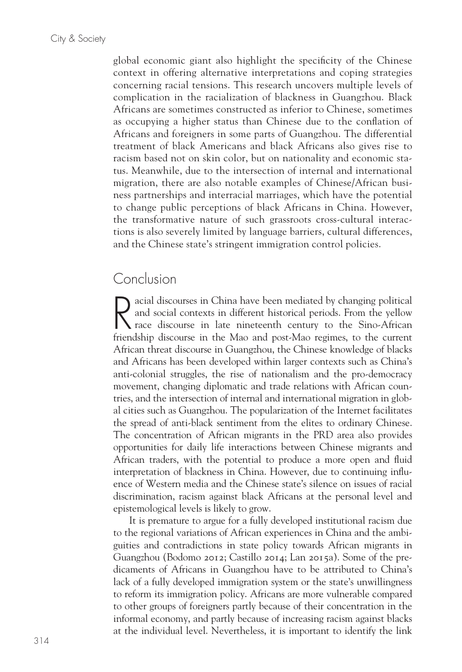global economic giant also highlight the specificity of the Chinese context in offering alternative interpretations and coping strategies concerning racial tensions. This research uncovers multiple levels of complication in the racialization of blackness in Guangzhou. Black Africans are sometimes constructed as inferior to Chinese, sometimes as occupying a higher status than Chinese due to the conflation of Africans and foreigners in some parts of Guangzhou. The differential treatment of black Americans and black Africans also gives rise to racism based not on skin color, but on nationality and economic status. Meanwhile, due to the intersection of internal and international migration, there are also notable examples of Chinese/African business partnerships and interracial marriages, which have the potential to change public perceptions of black Africans in China. However, the transformative nature of such grassroots cross-cultural interactions is also severely limited by language barriers, cultural differences, and the Chinese state's stringent immigration control policies.

## Conclusion

R acial discourses in China have been mediated by changing political and social contexts in different historical periods. From the yellow race discourse in late nineteenth century to the Sino-African friendship discourse in the Mao and post-Mao regimes, to the current African threat discourse in Guangzhou, the Chinese knowledge of blacks and Africans has been developed within larger contexts such as China's anti-colonial struggles, the rise of nationalism and the pro-democracy movement, changing diplomatic and trade relations with African countries, and the intersection of internal and international migration in global cities such as Guangzhou. The popularization of the Internet facilitates the spread of anti-black sentiment from the elites to ordinary Chinese. The concentration of African migrants in the PRD area also provides opportunities for daily life interactions between Chinese migrants and African traders, with the potential to produce a more open and fluid interpretation of blackness in China. However, due to continuing influence of Western media and the Chinese state's silence on issues of racial discrimination, racism against black Africans at the personal level and epistemological levels is likely to grow.

It is premature to argue for a fully developed institutional racism due to the regional variations of African experiences in China and the ambiguities and contradictions in state policy towards African migrants in Guangzhou (Bodomo 2012; Castillo 2014; Lan 2015a). Some of the predicaments of Africans in Guangzhou have to be attributed to China's lack of a fully developed immigration system or the state's unwillingness to reform its immigration policy. Africans are more vulnerable compared to other groups of foreigners partly because of their concentration in the informal economy, and partly because of increasing racism against blacks at the individual level. Nevertheless, it is important to identify the link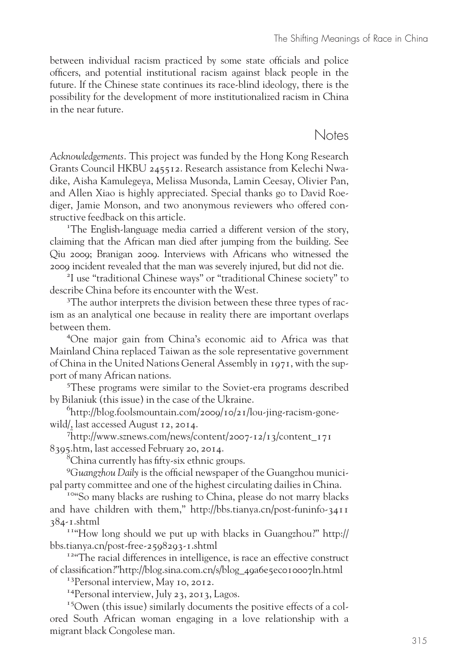between individual racism practiced by some state officials and police officers, and potential institutional racism against black people in the future. If the Chinese state continues its race-blind ideology, there is the possibility for the development of more institutionalized racism in China in the near future.

### Notes

Acknowledgements. This project was funded by the Hong Kong Research Grants Council HKBU 245512. Research assistance from Kelechi Nwadike, Aisha Kamulegeya, Melissa Musonda, Lamin Ceesay, Olivier Pan, and Allen Xiao is highly appreciated. Special thanks go to David Roediger, Jamie Monson, and two anonymous reviewers who offered constructive feedback on this article. <sup>1</sup>

<sup>T</sup>The English-language media carried a different version of the story, claiming that the African man died after jumping from the building. See Qiu 2009; Branigan 2009. Interviews with Africans who witnessed the 2009 incident revealed that the man was severely injured, but did not die.

2 I use "traditional Chinese ways" or "traditional Chinese society" to describe China before its encounter with the West.

<sup>3</sup>The author interprets the division between these three types of racism as an analytical one because in reality there are important overlaps between them.

4 One major gain from China's economic aid to Africa was that Mainland China replaced Taiwan as the sole representative government of China in the United Nations General Assembly in 1971, with the support of many African nations.

5 These programs were similar to the Soviet-era programs described by Bilaniuk (this issue) in the case of the Ukraine.

6 http://blog.foolsmountain.com/2009/10/21/lou-jing-racism-gonewild/, last accessed August 12, 2014.

 $\frac{7}{\text{http://www.sznews.com/news/content/2007-12/13/content-171}}$ 8395.htm, last accessed February 20, 2014.

China currently has fifty-six ethnic groups.

9 Guangzhou Daily is the official newspaper of the Guangzhou municipal party committee and one of the highest circulating dailies in China.<br><sup>10</sup>"So many blacks are rushing to China, please do not marry blacks

and have children with them," [http://bbs.tianya.cn/post-funinfo-](http://bbs.tianya.cn/post-funinfo-3411384-1.shtml)3411 384-1[.shtml](http://bbs.tianya.cn/post-funinfo-3411384-1.shtml)

<sup>11</sup>"How long should we put up with blacks in Guangzhou?" [http://](http://bbs.tianya.cn/post-free-2598293-1.shtml) [bbs.tianya.cn/post-free-](http://bbs.tianya.cn/post-free-2598293-1.shtml)2598293-1.shtml <sup>12</sup>"The racial differences in intelligence, is race an effective construct

of classification?"http://blog.sina.com.cn/s/blog\_49a6e5ec010007ln.html

<sup>13</sup>Personal interview, May 10, 2012.<br><sup>14</sup>Personal interview, July 23, 2013, Lagos.

<sup>15</sup>Owen (this issue) similarly documents the positive effects of a colored South African woman engaging in a love relationship with a migrant black Congolese man.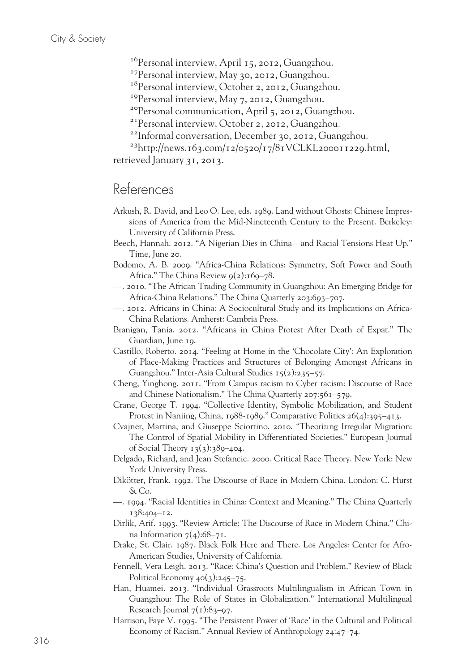- <sup>16</sup>Personal interview, April 15, 2012, Guangzhou.
- <sup>17</sup>Personal interview, May 30, 2012, Guangzhou.
- <sup>18</sup>Personal interview, October 2, 2012, Guangzhou.
- 
- <sup>19</sup>Personal interview, May 7, 2012, Guangzhou.<br><sup>20</sup>Personal communication, April 5, 2012, Guangzhou.<br><sup>21</sup>Personal interview, October 2, 2012, Guangzhou.<br><sup>22</sup>Informal conversation, December 30, 2012, Guangzhou.
- 
- 
- $23$ http://news.163.com/12/0520/17/81VCLKL200011229.html,

retrieved January 31, 2013.

## References

- Arkush, R. David, and Leo O. Lee, eds. 1989. Land without Ghosts: Chinese Impressions of America from the Mid-Nineteenth Century to the Present. Berkeley: University of California Press.
- Beech, Hannah. 2012. "A Nigerian Dies in China—and Racial Tensions Heat Up." Time, June 20.
- Bodomo, A. B. 2009. "Africa-China Relations: Symmetry, Soft Power and South Africa." The China Review  $9(2):169-78$ .
- —. 2010. "The African Trading Community in Guangzhou: An Emerging Bridge for Africa-China Relations." The China Quarterly 203:693–707.
- —. 2012. Africans in China: A Sociocultural Study and its Implications on Africa-China Relations. Amherst: Cambria Press.
- Branigan, Tania. 2012. "Africans in China Protest After Death of Expat." The Guardian, June 19.
- Castillo, Roberto. 2014. "Feeling at Home in the 'Chocolate City': An Exploration of Place-Making Practices and Structures of Belonging Amongst Africans in Guangzhou." Inter-Asia Cultural Studies 15(2):235–57.
- Cheng, Yinghong. 2011. "From Campus racism to Cyber racism: Discourse of Race and Chinese Nationalism." The China Quarterly 207:561–579.
- Crane, George T. 1994. "Collective Identity, Symbolic Mobilization, and Student Protest in Nanjing, China, 1988-1989." Comparative Politics 26(4):395-413.
- Cvajner, Martina, and Giuseppe Sciortino. 2010. "Theorizing Irregular Migration: The Control of Spatial Mobility in Differentiated Societies." European Journal of Social Theory 13(3):389–404.
- Delgado, Richard, and Jean Stefancic. 2000. Critical Race Theory. New York: New York University Press.
- Dikötter, Frank. 1992. The Discourse of Race in Modern China. London: C. Hurst & Co.
- —. 1994. "Racial Identities in China: Context and Meaning." The China Quarterly 138:404–12.
- Dirlik, Arif. 1993. "Review Article: The Discourse of Race in Modern China." China Information  $7(4):68-71$ .
- Drake, St. Clair. 1987. Black Folk Here and There. Los Angeles: Center for Afro-American Studies, University of California.
- Fennell, Vera Leigh. 2013. "Race: China's Question and Problem." Review of Black Political Economy  $40(3):245-75$ .
- Han, Huamei. 2013. "Individual Grassroots Multilingualism in African Town in Guangzhou: The Role of States in Globalization." International Multilingual Research Journal  $7(1):83-97$ .
- Harrison, Faye V. 1995. "The Persistent Power of 'Race' in the Cultural and Political Economy of Racism." Annual Review of Anthropology 24:47–74.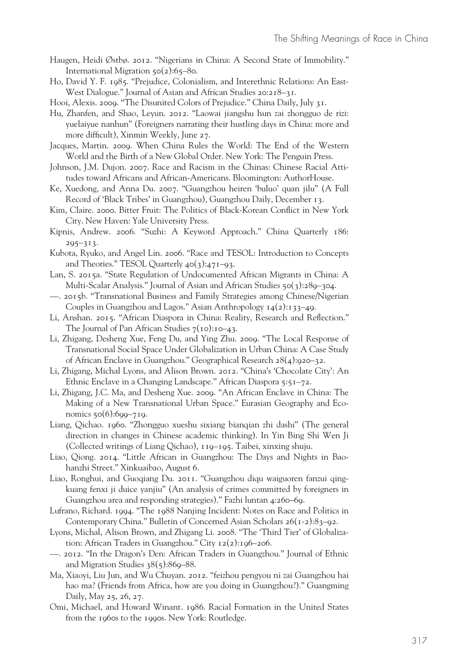- Haugen, Heidi Østbø. 2012. "Nigerians in China: A Second State of Immobility." International Migration  $50(2):65-80$ .
- Ho, David Y. F. 1985. "Prejudice, Colonialism, and Interethnic Relations: An East-West Dialogue." Journal of Asian and African Studies 20:218–31.
- Hooi, Alexis. 2009. "The Disunited Colors of Prejudice." China Daily, July 31.
- Hu, Zhanfen, and Shao, Leyun. 2012. "Laowai jiangshu hun zai zhongguo de rizi: yuelaiyue nanhun" (Foreigners narrating their hustling days in China: more and more difficult), Xinmin Weekly, June 27.
- Jacques, Martin. 2009. When China Rules the World: The End of the Western World and the Birth of a New Global Order. New York: The Penguin Press.
- Johnson, J.M. Dujon. 2007. Race and Racism in the Chinas: Chinese Racial Attitudes toward Africans and African-Americans. Bloomington: AuthorHouse.
- Ke, Xuedong, and Anna Du. 2007. "Guangzhou heiren 'buluo' quan jilu" (A Full Record of 'Black Tribes' in Guangzhou), Guangzhou Daily, December 13.
- Kim, Claire. 2000. Bitter Fruit: The Politics of Black-Korean Conflict in New York City. New Haven: Yale University Press.
- Kipnis, Andrew. 2006. "Suzhi: A Keyword Approach." China Quarterly 186: 295–313.
- Kubota, Ryuko, and Angel Lin. 2006. "Race and TESOL: Introduction to Concepts and Theories." TESOL Quarterly 40(3):471–93.
- Lan, S. 2015a. "State Regulation of Undocumented African Migrants in China: A Multi-Scalar Analysis." Journal of Asian and African Studies 50(3):289–304.
- —. 2015b. "Transnational Business and Family Strategies among Chinese/Nigerian Couples in Guangzhou and Lagos." Asian Anthropology 14(2):133–49.
- Li, Anshan. 2015. "African Diaspora in China: Reality, Research and Reflection." The Journal of Pan African Studies 7(10):10–43.
- Li, Zhigang, Desheng Xue, Feng Du, and Ying Zhu. 2009. "The Local Response of Transnational Social Space Under Globalization in Urban China: A Case Study of African Enclave in Guangzhou." Geographical Research 28(4):920–32.
- Li, Zhigang, Michal Lyons, and Alison Brown. 2012. "China's 'Chocolate City': An Ethnic Enclave in a Changing Landscape." African Diaspora 5:51–72.
- Li, Zhigang, J.C. Ma, and Desheng Xue. 2009. "An African Enclave in China: The Making of a New Transnational Urban Space." Eurasian Geography and Economics  $50(6):699-719$ .
- Liang, Qichao. 1960. "Zhongguo xueshu sixiang bianqian zhi dashi" (The general direction in changes in Chinese academic thinking). In Yin Bing Shi Wen Ji (Collected writings of Liang Qichao), 119–195. Taibei, xinxing shuju.
- Liao, Qiong. 2014. "Little African in Guangzhou: The Days and Nights in Baohanzhi Street." Xinkuaibao, August 6.
- Liao, Ronghui, and Guoqiang Du. 2011. "Guangzhou diqu waiguoren fanzui qingkuang fenxi ji duice yanjiu" (An analysis of crimes committed by foreigners in Guangzhou area and responding strategies)." Fazhi luntan 4:260–69.
- Lufrano, Richard. 1994. "The 1988 Nanjing Incident: Notes on Race and Politics in Contemporary China." Bulletin of Concerned Asian Scholars 26(1-2):83–92.
- Lyons, Michal, Alison Brown, and Zhigang Li. 2008. "The 'Third Tier' of Globalization: African Traders in Guangzhou." City 12(2):196–206.
- —. 2012. "In the Dragon's Den: African Traders in Guangzhou." Journal of Ethnic and Migration Studies 38(5):869-88.
- Ma, Xiaoyi, Liu Jun, and Wu Chuyan. 2012. "feizhou pengyou ni zai Guangzhou hai hao ma? (Friends from Africa, how are you doing in Guangzhou?)." Guangming Daily, May 25, 26, 27.
- Omi, Michael, and Howard Winant. 1986. Racial Formation in the United States from the 1960s to the 1990s. New York: Routledge.